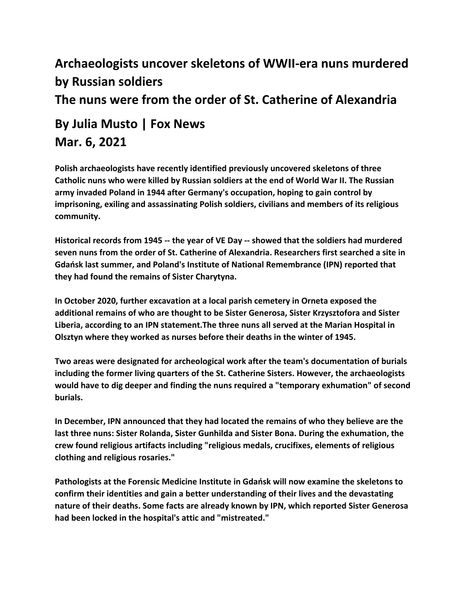## **Archaeologists uncover skeletons of WWII-era nuns murdered by Russian soldiers The nuns were from the order of St. Catherine of Alexandria**

## **By Julia Musto | Fox News Mar. 6, 2021**

**Polish archaeologists have recently identified previously uncovered skeletons of three Catholic nuns who were killed by Russian soldiers at the end of World War II. The Russian army invaded Poland in 1944 after Germany's occupation, hoping to gain control by imprisoning, exiling and assassinating Polish soldiers, civilians and members of its religious community.**

**Historical records from 1945 -- the year of VE Day -- showed that the soldiers had murdered seven nuns from the order of St. Catherine of Alexandria. Researchers first searched a site in Gdańsk last summer, and Poland's Institute of National Remembrance (IPN) reported that they had found the remains of Sister Charytyna.**

**In October 2020, further excavation at a local parish cemetery in Orneta exposed the additional remains of who are thought to be Sister Generosa, Sister Krzysztofora and Sister Liberia, according to an IPN statement.The three nuns all served at the Marian Hospital in Olsztyn where they worked as nurses before their deaths in the winter of 1945.**

**Two areas were designated for archeological work after the team's documentation of burials including the former living quarters of the St. Catherine Sisters. However, the archaeologists would have to dig deeper and finding the nuns required a "temporary exhumation" of second burials.**

**In December, IPN announced that they had located the remains of who they believe are the last three nuns: Sister Rolanda, Sister Gunhilda and Sister Bona. During the exhumation, the crew found religious artifacts including "religious medals, crucifixes, elements of religious clothing and religious rosaries."**

**Pathologists at the Forensic Medicine Institute in Gdańsk will now examine the skeletons to confirm their identities and gain a better understanding of their lives and the devastating nature of their deaths. Some facts are already known by IPN, which reported Sister Generosa had been locked in the hospital's attic and "mistreated."**